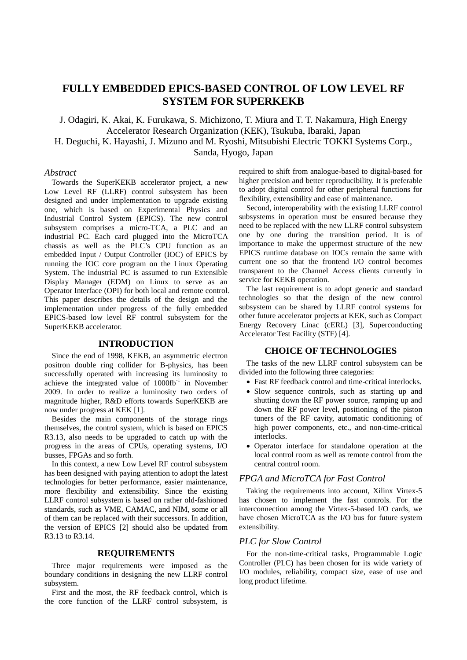# **FULLY EMBEDDED EPICS-BASED CONTROL OF LOW LEVEL RF SYSTEM FOR SUPERKEKB**

J. Odagiri, K. Akai, K. Furukawa, S. Michizono, T. Miura and T. T. Nakamura, High Energy Accelerator Research Organization (KEK), Tsukuba, Ibaraki, Japan H. Deguchi, K. Hayashi, J. Mizuno and M. Ryoshi, Mitsubishi Electric TOKKI Systems Corp., Sanda, Hyogo, Japan

#### *Abstract*

Towards the SuperKEKB accelerator project, a new Low Level RF (LLRF) control subsystem has been designed and under implementation to upgrade existing one, which is based on Experimental Physics and Industrial Control System (EPICS). The new control subsystem comprises a micro-TCA, a PLC and an industrial PC. Each card plugged into the MicroTCA chassis as well as the PLC's CPU function as an embedded Input / Output Controller (IOC) of EPICS by running the IOC core program on the Linux Operating System. The industrial PC is assumed to run Extensible Display Manager (EDM) on Linux to serve as an Operator Interface (OPI) for both local and remote control. This paper describes the details of the design and the implementation under progress of the fully embedded EPICS-based low level RF control subsystem for the SuperKEKB accelerator.

# **INTRODUCTION**

Since the end of 1998, KEKB, an asymmetric electron positron double ring collider for B-physics, has been successfully operated with increasing its luminosity to achieve the integrated value of  $1000\text{fb}^{-1}$  in November 2009. In order to realize a luminosity two orders of magnitude higher, R&D efforts towards SuperKEKB are now under progress at KEK [1].

Besides the main components of the storage rings themselves, the control system, which is based on EPICS R3.13, also needs to be upgraded to catch up with the progress in the areas of CPUs, operating systems, I/O busses, FPGAs and so forth.

In this context, a new Low Level RF control subsystem has been designed with paying attention to adopt the latest technologies for better performance, easier maintenance, more flexibility and extensibility. Since the existing LLRF control subsystem is based on rather old-fashioned standards, such as VME, CAMAC, and NIM, some or all of them can be replaced with their successors. In addition, the version of EPICS [2] should also be updated from R3.13 to R3.14.

# **REQUIREMENTS**

Three major requirements were imposed as the boundary conditions in designing the new LLRF control subsystem.

First and the most, the RF feedback control, which is the core function of the LLRF control subsystem, is

required to shift from analogue-based to digital-based for higher precision and better reproducibility. It is preferable to adopt digital control for other peripheral functions for flexibility, extensibility and ease of maintenance.

Second, interoperability with the existing LLRF control subsystems in operation must be ensured because they need to be replaced with the new LLRF control subsystem one by one during the transition period. It is of importance to make the uppermost structure of the new EPICS runtime database on IOCs remain the same with current one so that the frontend I/O control becomes transparent to the Channel Access clients currently in service for KEKB operation.

The last requirement is to adopt generic and standard technologies so that the design of the new control subsystem can be shared by LLRF control systems for other future accelerator projects at KEK, such as Compact Energy Recovery Linac (cERL) [3], Superconducting Accelerator Test Facility (STF) [4].

# **CHOICE OF TECHNOLOGIES**

The tasks of the new LLRF control subsystem can be divided into the following three categories:

- Fast RF feedback control and time-critical interlocks.
- Slow sequence controls, such as starting up and shutting down the RF power source, ramping up and down the RF power level, positioning of the piston tuners of the RF cavity, automatic conditioning of high power components, etc., and non-time-critical interlocks.
- Operator interface for standalone operation at the local control room as well as remote control from the central control room.

#### *FPGA and MicroTCA for Fast Control*

Taking the requirements into account, Xilinx Virtex-5 has chosen to implement the fast controls. For the interconnection among the Virtex-5-based I/O cards, we have chosen MicroTCA as the I/O bus for future system extensibility.

### *PLC for Slow Control*

For the non-time-critical tasks, Programmable Logic Controller (PLC) has been chosen for its wide variety of I/O modules, reliability, compact size, ease of use and long product lifetime.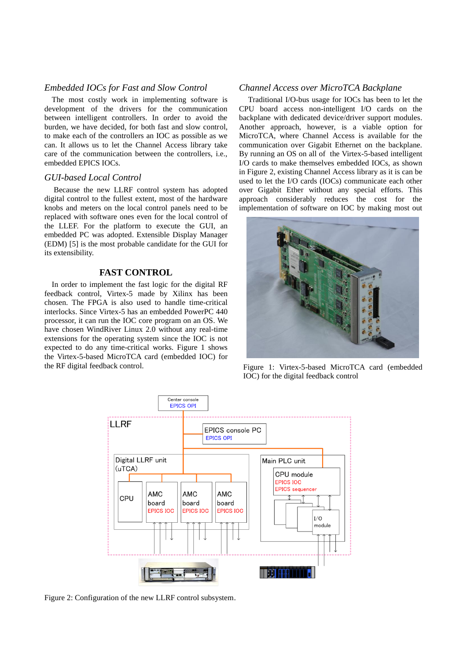# *Embedded IOCs for Fast and Slow Control*

The most costly work in implementing software is development of the drivers for the communication between intelligent controllers. In order to avoid the burden, we have decided, for both fast and slow control, to make each of the controllers an IOC as possible as we can. It allows us to let the Channel Access library take care of the communication between the controllers, i.e., embedded EPICS IOCs.

#### *GUI-based Local Control*

Because the new LLRF control system has adopted digital control to the fullest extent, most of the hardware knobs and meters on the local control panels need to be replaced with software ones even for the local control of the LLEF. For the platform to execute the GUI, an embedded PC was adopted. Extensible Display Manager (EDM) [5] is the most probable candidate for the GUI for its extensibility.

# **FAST CONTROL**

In order to implement the fast logic for the digital RF feedback control, Virtex-5 made by Xilinx has been chosen. The FPGA is also used to handle time-critical interlocks. Since Virtex-5 has an embedded PowerPC 440 processor, it can run the IOC core program on an OS. We have chosen WindRiver Linux 2.0 without any real-time extensions for the operating system since the IOC is not expected to do any time-critical works. Figure 1 shows the Virtex-5-based MicroTCA card (embedded IOC) for the RF digital feedback control.

### *Channel Access over MicroTCA Backplane*

Traditional I/O-bus usage for IOCs has been to let the CPU board access non-intelligent I/O cards on the backplane with dedicated device/driver support modules. Another approach, however, is a viable option for MicroTCA, where Channel Access is available for the communication over Gigabit Ethernet on the backplane. By running an OS on all of the Virtex-5-based intelligent I/O cards to make themselves embedded IOCs, as shown in Figure 2, existing Channel Access library as it is can be used to let the I/O cards (IOCs) communicate each other over Gigabit Ether without any special efforts. This approach considerably reduces the cost for the implementation of software on IOC by making most out



Figure 1: Virtex-5-based MicroTCA card (embedded IOC) for the digital feedback control



Figure 2: Configuration of the new LLRF control subsystem.